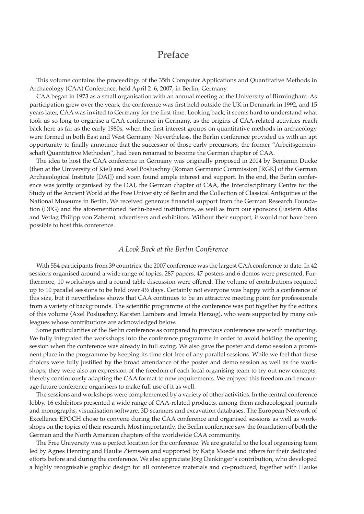## Preface

This volume contains the proceedings of the 35th Computer Applications and Quantitative Methods in Archaeology (CAA) Conference, held April 2–6, 2007, in Berlin, Germany.

CAA began in 1973 as a small organisation with an annual meeting at the University of Birmingham. As participation grew over the years, the conference was first held outside the UK in Denmark in 1992, and 15 years later, CAA was invited to Germany for the first time. Looking back, it seems hard to understand what took us so long to organise a CAA conference in Germany, as the origins of CAA-related activities reach back here as far as the early 1980s, when the first interest groups on quantitative methods in archaeology were formed in both East and West Germany. Nevertheless, the Berlin conference provided us with an apt opportunity to finally announce that the successor of those early precursors, the former "Arbeitsgemeinschaft Quantitative Methoden", had been renamed to become the German chapter of CAA.

The idea to host the CAA conference in Germany was originally proposed in 2004 by Benjamin Ducke (then at the University of Kiel) and Axel Posluschny (Roman Germanic Commission [RGK] of the German Archaeological Institute [DAI]) and soon found ample interest and support. In the end, the Berlin conference was jointly organised by the DAI, the German chapter of CAA, the Interdisciplinary Centre for the Study of the Ancient World at the Free University of Berlin and the Collection of Classical Antiquities of the National Museums in Berlin. We received generous financial support from the German Research Foundation (DFG) and the aforementioned Berlin-based institutions, as well as from our sponsors (Eastern Atlas and Verlag Philipp von Zabern), advertisers and exhibitors. Without their support, it would not have been possible to host this conference.

## *A Look Back at the Berlin Conference*

With 554 participants from 39 countries, the 2007 conference was the largest CAA conference to date. In 42 sessions organised around a wide range of topics, 287 papers, 47 posters and 6 demos were presented. Furthermore, 10 workshops and a round table discussion were offered. The volume of contributions required up to 10 parallel sessions to be held over 4½ days. Certainly not everyone was happy with a conference of this size, but it nevertheless shows that CAA continues to be an attractive meeting point for professionals from a variety of backgrounds. The scientific programme of the conference was put together by the editors of this volume (Axel Posluschny, Karsten Lambers and Irmela Herzog), who were supported by many colleagues whose contributions are acknowledged below.

Some particularities of the Berlin conference as compared to previous conferences are worth mentioning. We fully integrated the workshops into the conference programme in order to avoid holding the opening session when the conference was already in full swing. We also gave the poster and demo session a prominent place in the programme by keeping its time slot free of any parallel sessions. While we feel that these choices were fully justified by the broad attendance of the poster and demo session as well as the workshops, they were also an expression of the freedom of each local organising team to try out new concepts, thereby continuously adapting the CAA format to new requirements. We enjoyed this freedom and encourage future conference organisers to make full use of it as well.

The sessions and workshops were complemented by a variety of other activities. In the central conference lobby, 16 exhibitors presented a wide range of CAA-related products, among them archaeological journals and monographs, visualisation software, 3D scanners and excavation databases. The European Network of Excellence EPOCH chose to convene during the CAA conference and organised sessions as well as workshops on the topics of their research. Most importantly, the Berlin conference saw the foundation of both the German and the North American chapters of the worldwide CAA community.

The Free University was a perfect location for the conference. We are grateful to the local organising team led by Agnes Henning and Hauke Ziemssen and supported by Katja Moede and others for their dedicated efforts before and during the conference. We also appreciate Jörg Denkinger's contribution, who developed a highly recognisable graphic design for all conference materials and co-produced, together with Hauke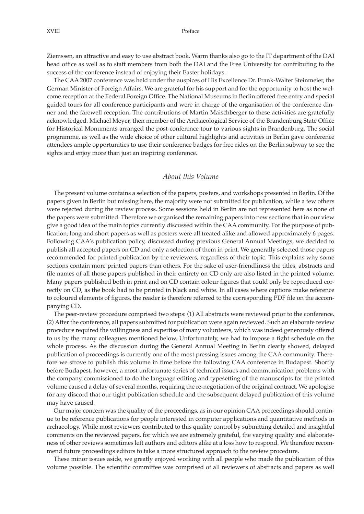Ziemssen, an attractive and easy to use abstract book. Warm thanks also go to the IT department of the DAI head office as well as to staff members from both the DAI and the Free University for contributing to the success of the conference instead of enjoying their Easter holidays.

The CAA 2007 conference was held under the auspices of His Excellence Dr. Frank-Walter Steinmeier, the German Minister of Foreign Affairs. We are grateful for his support and for the opportunity to host the welcome reception at the Federal Foreign Office. The National Museums in Berlin offered free entry and special guided tours for all conference participants and were in charge of the organisation of the conference dinner and the farewell reception. The contributions of Martin Maischberger to these activities are gratefully acknowledged. Michael Meyer, then member of the Archaeological Service of the Brandenburg State Office for Historical Monuments arranged the post-conference tour to various sights in Brandenburg. The social programme, as well as the wide choice of other cultural highlights and activities in Berlin gave conference attendees ample opportunities to use their conference badges for free rides on the Berlin subway to see the sights and enjoy more than just an inspiring conference.

## *About this Volume*

The present volume contains a selection of the papers, posters, and workshops presented in Berlin. Of the papers given in Berlin but missing here, the majority were not submitted for publication, while a few others were rejected during the review process. Some sessions held in Berlin are not represented here as none of the papers were submitted. Therefore we organised the remaining papers into new sections that in our view give a good idea of the main topics currently discussed within the CAA community. For the purpose of publication, long and short papers as well as posters were all treated alike and allowed approximately 6 pages. Following CAA's publication policy, discussed during previous General Annual Meetings, we decided to publish all accepted papers on CD and only a selection of them in print. We generally selected those papers recommended for printed publication by the reviewers, regardless of their topic. This explains why some sections contain more printed papers than others. For the sake of user-friendliness the titles, abstracts and file names of all those papers published in their entirety on CD only are also listed in the printed volume. Many papers published both in print and on CD contain colour figures that could only be reproduced correctly on CD, as the book had to be printed in black and white. In all cases where captions make reference to coloured elements of figures, the reader is therefore referred to the corresponding PDF file on the accompanying CD.

The peer-review procedure comprised two steps: (1) All abstracts were reviewed prior to the conference. (2) After the conference, all papers submitted for publication were again reviewed. Such an elaborate review procedure required the willingness and expertise of many volunteers, which was indeed generously offered to us by the many colleagues mentioned below. Unfortunately, we had to impose a tight schedule on the whole process. As the discussion during the General Annual Meeting in Berlin clearly showed, delayed publication of proceedings is currently one of the most pressing issues among the CAA community. Therefore we strove to publish this volume in time before the following CAA conference in Budapest. Shortly before Budapest, however, a most unfortunate series of technical issues and communication problems with the company commissioned to do the language editing and typesetting of the manuscripts for the printed volume caused a delay of several months, requiring the re-negotiation of the original contract. We apologise for any discord that our tight publication schedule and the subsequent delayed publication of this volume may have caused.

Our major concern was the quality of the proceedings, as in our opinion CAA proceedings should continue to be reference publications for people interested in computer applications and quantitative methods in archaeology. While most reviewers contributed to this quality control by submitting detailed and insightful comments on the reviewed papers, for which we are extremely grateful, the varying quality and elaborateness of other reviews sometimes left authors and editors alike at a loss how to respond. We therefore recommend future proceedings editors to take a more structured approach to the review procedure.

These minor issues aside, we greatly enjoyed working with all people who made the publication of this volume possible. The scientific committee was comprised of all reviewers of abstracts and papers as well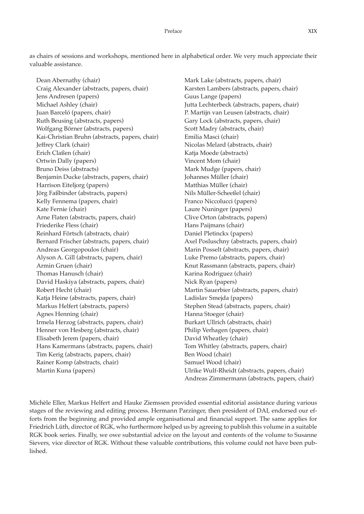as chairs of sessions and workshops, mentioned here in alphabetical order. We very much appreciate their valuable assistance.

Dean Abernathy (chair) Craig Alexander (abstracts, papers, chair) Jens Andresen (papers) Michael Ashley (chair) Juan Barceló (papers, chair) Ruth Beusing (abstracts, papers) Wolfgang Börner (abstracts, papers) Kai-Christian Bruhn (abstracts, papers, chair) Jeffrey Clark (chair) Erich Claßen (chair) Ortwin Dally (papers) Bruno Deiss (abstracts) Benjamin Ducke (abstracts, papers, chair) Harrison Eiteljorg (papers) Jörg Faßbinder (abstracts, papers) Kelly Fennema (papers, chair) Kate Fernie (chair) Arne Flaten (abstracts, papers, chair) Friederike Fless (chair) Reinhard Förtsch (abstracts, chair) Bernard Frischer (abstracts, papers, chair) Andreas Georgopoulos (chair) Alyson A. Gill (abstracts, papers, chair) Armin Gruen (chair) Thomas Hanusch (chair) David Haskiya (abstracts, papers, chair) Robert Hecht (chair) Katja Heine (abstracts, papers, chair) Markus Helfert (abstracts, papers) Agnes Henning (chair) Irmela Herzog (abstracts, papers, chair) Henner von Hesberg (abstracts, chair) Elisabeth Jerem (papers, chair) Hans Kamermans (abstracts, papers, chair) Tim Kerig (abstracts, papers, chair) Rainer Komp (abstracts, chair) Martin Kuna (papers)

Mark Lake (abstracts, papers, chair) Karsten Lambers (abstracts, papers, chair) Guus Lange (papers) Jutta Lechterbeck (abstracts, papers, chair) P. Martijn van Leusen (abstracts, chair) Gary Lock (abstracts, papers, chair) Scott Madry (abstracts, chair) Emilia Masci (chair) Nicolas Melard (abstracts, chair) Katja Moede (abstracts) Vincent Mom (chair) Mark Mudge (papers, chair) Johannes Müller (chair) Matthias Müller (chair) Nils Müller-Scheeßel (chair) Franco Niccolucci (papers) Laure Nuninger (papers) Clive Orton (abstracts, papers) Hans Paijmans (chair) Daniel Pletinckx (papers) Axel Posluschny (abstracts, papers, chair) Marin Posselt (abstracts, papers, chair) Luke Premo (abstracts, papers, chair) Knut Rassmann (abstracts, papers, chair) Karina Rodriguez (chair) Nick Ryan (papers) Martin Sauerbier (abstracts, papers, chair) Ladislav Smejda (papers) Stephen Stead (abstracts, papers, chair) Hanna Stoeger (chair) Burkart Ullrich (abstracts, chair) Philip Verhagen (papers, chair) David Wheatley (chair) Tom Whitley (abstracts, papers, chair) Ben Wood (chair) Samuel Wood (chair) Ulrike Wulf-Rheidt (abstracts, papers, chair) Andreas Zimmermann (abstracts, papers, chair)

Michèle Eller, Markus Helfert and Hauke Ziemssen provided essential editorial assistance during various stages of the reviewing and editing process. Hermann Parzinger, then president of DAI, endorsed our efforts from the beginning and provided ample organisational and financial support. The same applies for Friedrich Lüth, director of RGK, who furthermore helped us by agreeing to publish this volume in a suitable RGK book series. Finally, we owe substantial advice on the layout and contents of the volume to Susanne Sievers, vice director of RGK. Without these valuable contributions, this volume could not have been published.